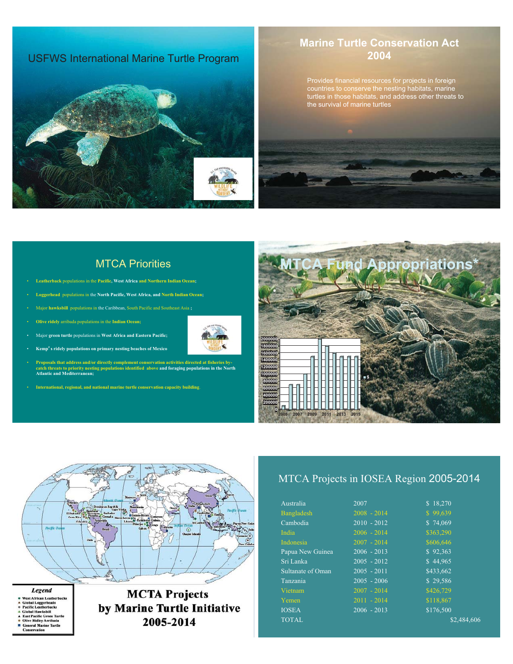### USFWS International Marine Turtle Program



### **Marine Turtle Conservation Act 2004**

Provides financial resources for projects in foreign countries to conserve the nesting habitats, marine turtles in those habitats, and address other threats to the survival of marine turtles



### MTCA Priorities

- **Leatherback** populations in the **Pacific, West Africa and Northern Indian Ocean;**
- **Loggerhead** populations in the **North Pacific, West Africa, and North Indian Ocean;**
- Major **hawksbill** populations in the Caribbean, South Pacific and Southeast Asia **;**
- **Olive ridely** arribada populations in the **Indian Ocean;**
- Major **green turtle** populations in **West Africa and Eastern Pacific;**
- **Kemp**䇻**s ridely populations on primary nesting beaches of Mexico**
- Proposals that address and/or directly complement conservation activities directed at fisheries by-<br>catch threats to priority nesting populations identified above and foraging populations in the North<br>Atlantic and Mediterr
- **International, regional, and national marine turtle conservation capacity building**.





| Australia         | 2007          | \$18,270    |
|-------------------|---------------|-------------|
| <b>Bangladesh</b> | $2008 - 2014$ | \$99,639    |
| Cambodia          | $2010 - 2012$ | \$74,069    |
| India             | $2006 - 2014$ | \$363,290   |
| Indonesia         | $2007 - 2014$ | \$606,646   |
| Papua New Guinea  | $2006 - 2013$ | \$92,363    |
| Sri Lanka         | $2005 - 2012$ | \$44.965    |
| Sultanate of Oman | $2005 - 2011$ | \$433,662   |
| Tanzania          | $2005 - 2006$ | \$29,586    |
| Vietnam           | $2007 - 2014$ | \$426,729   |
| Yemen             | $2011 - 2014$ | \$118,867   |
| <b>IOSEA</b>      | $2006 - 2013$ | \$176,500   |
| <b>TOTAL</b>      |               | \$2,484,606 |
|                   |               |             |



**MCTA Projects** 

by Marine Turtle Initiative 2005-2014

- Legend Leg Crue<br>
West African Leatherbacks<br>
Global Loggerheads<br>
Clobal Hawksbill<br>
Clobal Hawksbill<br>
Clobal Hawksbill<br>
Clobal Hawksbill<br>
Olive Ridly Arribada<br>
General Marine Turtle<br>
Conservation<br>
Conservation
- 
-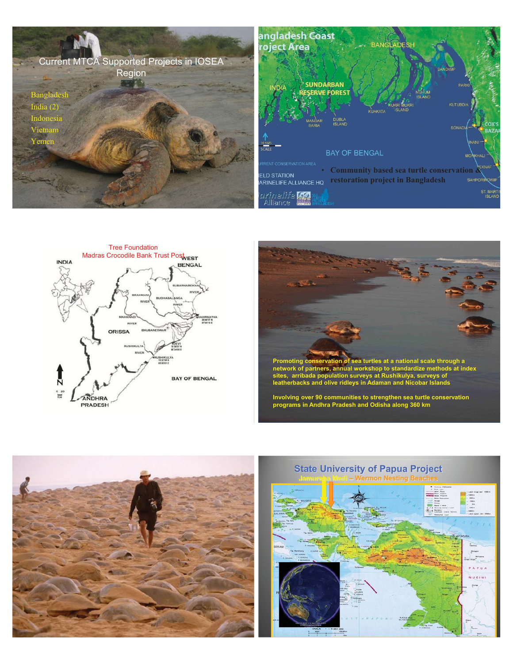







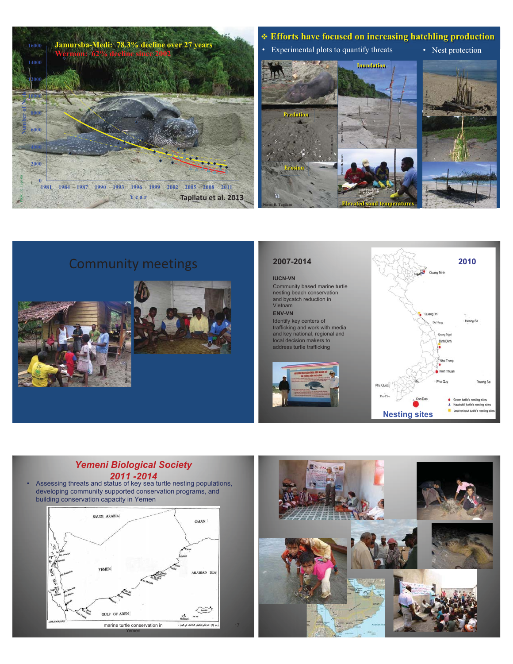

## Community meetings





### **IUCN-VN**

Community based marine turtle nesting beach conservation and bycatch reduction in Vietnam **ENV-VN** 

Identify key centers of trafficking and work with media and key national, regional and local decision makers to address turtle trafficking





### *Yemeni Biological Society*  **2012 - Assessing threats and status of key sea turtle nesting populations,**

developing community supported conservation programs, and building conservation capacity in Yemen